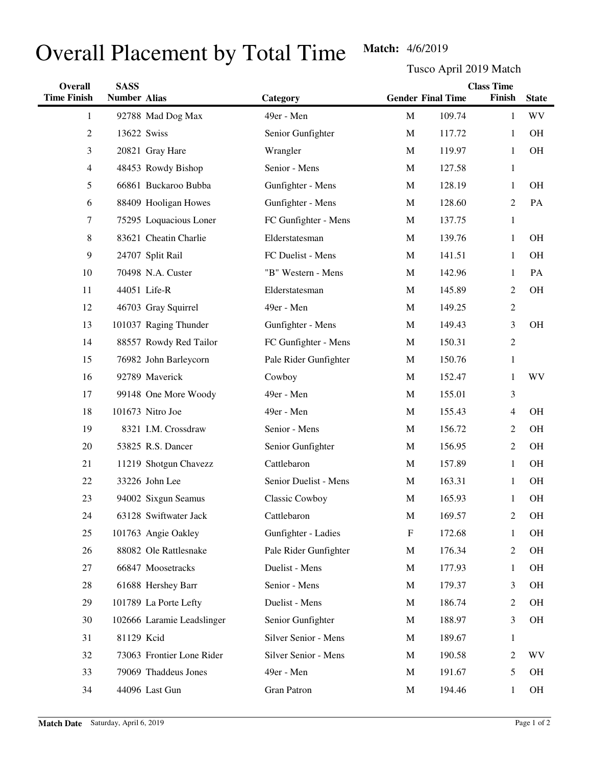## Overall Placement by Total Time Match: 4/6/2019

Tusco April 2019 Match

| <b>Overall</b>     | <b>SASS</b>         |                            | <b>Class Time</b>     |              |                          |                |              |
|--------------------|---------------------|----------------------------|-----------------------|--------------|--------------------------|----------------|--------------|
| <b>Time Finish</b> | <b>Number Alias</b> |                            | Category              |              | <b>Gender Final Time</b> | Finish         | <b>State</b> |
| 1                  |                     | 92788 Mad Dog Max          | 49er - Men            | $\mathbf{M}$ | 109.74                   | 1              | <b>WV</b>    |
| $\overline{c}$     | 13622 Swiss         |                            | Senior Gunfighter     | $\mathbf{M}$ | 117.72                   | 1              | <b>OH</b>    |
| 3                  |                     | 20821 Gray Hare            | Wrangler              | M            | 119.97                   | 1              | OH           |
| 4                  |                     | 48453 Rowdy Bishop         | Senior - Mens         | M            | 127.58                   | $\mathbf{1}$   |              |
| 5                  |                     | 66861 Buckaroo Bubba       | Gunfighter - Mens     | M            | 128.19                   | 1              | <b>OH</b>    |
| 6                  |                     | 88409 Hooligan Howes       | Gunfighter - Mens     | M            | 128.60                   | 2              | PA           |
| 7                  |                     | 75295 Loquacious Loner     | FC Gunfighter - Mens  | M            | 137.75                   | $\mathbf{1}$   |              |
| 8                  |                     | 83621 Cheatin Charlie      | Elderstatesman        | M            | 139.76                   | 1              | <b>OH</b>    |
| 9                  |                     | 24707 Split Rail           | FC Duelist - Mens     | $\mathbf{M}$ | 141.51                   | 1              | <b>OH</b>    |
| 10                 |                     | 70498 N.A. Custer          | "B" Western - Mens    | M            | 142.96                   | 1              | PA           |
| 11                 |                     | 44051 Life-R               | Elderstatesman        | M            | 145.89                   | $\overline{c}$ | <b>OH</b>    |
| 12                 |                     | 46703 Gray Squirrel        | 49er - Men            | M            | 149.25                   | $\mathfrak{2}$ |              |
| 13                 |                     | 101037 Raging Thunder      | Gunfighter - Mens     | $\mathbf{M}$ | 149.43                   | 3              | <b>OH</b>    |
| 14                 |                     | 88557 Rowdy Red Tailor     | FC Gunfighter - Mens  | M            | 150.31                   | $\mathfrak{2}$ |              |
| 15                 |                     | 76982 John Barleycorn      | Pale Rider Gunfighter | M            | 150.76                   | $\mathbf{1}$   |              |
| 16                 |                     | 92789 Maverick             | Cowboy                | M            | 152.47                   | 1              | <b>WV</b>    |
| 17                 |                     | 99148 One More Woody       | 49er - Men            | M            | 155.01                   | 3              |              |
| 18                 |                     | 101673 Nitro Joe           | 49er - Men            | M            | 155.43                   | 4              | <b>OH</b>    |
| 19                 |                     | 8321 I.M. Crossdraw        | Senior - Mens         | $\mathbf{M}$ | 156.72                   | $\overline{c}$ | <b>OH</b>    |
| 20                 |                     | 53825 R.S. Dancer          | Senior Gunfighter     | M            | 156.95                   | $\overline{c}$ | <b>OH</b>    |
| 21                 |                     | 11219 Shotgun Chavezz      | Cattlebaron           | $\mathbf{M}$ | 157.89                   | 1              | <b>OH</b>    |
| 22                 |                     | 33226 John Lee             | Senior Duelist - Mens | M            | 163.31                   | 1              | <b>OH</b>    |
| 23                 |                     | 94002 Sixgun Seamus        | Classic Cowboy        | $\mathbf M$  | 165.93                   | 1              | OH           |
| 24                 |                     | 63128 Swiftwater Jack      | Cattlebaron           | $\mathbf M$  | 169.57                   | $\overline{c}$ | <b>OH</b>    |
| 25                 |                     | 101763 Angie Oakley        | Gunfighter - Ladies   | $\mathbf{F}$ | 172.68                   | 1              | OH           |
| 26                 |                     | 88082 Ole Rattlesnake      | Pale Rider Gunfighter | M            | 176.34                   | $\overline{c}$ | OH           |
| 27                 |                     | 66847 Moosetracks          | Duelist - Mens        | M            | 177.93                   | $\mathbf{1}$   | OH           |
| 28                 |                     | 61688 Hershey Barr         | Senior - Mens         | M            | 179.37                   | 3              | OH           |
| 29                 |                     | 101789 La Porte Lefty      | Duelist - Mens        | M            | 186.74                   | 2              | OH           |
| 30                 |                     | 102666 Laramie Leadslinger | Senior Gunfighter     | M            | 188.97                   | 3              | OH           |
| 31                 | 81129 Kcid          |                            | Silver Senior - Mens  | M            | 189.67                   | $\mathbf{1}$   |              |
| 32                 |                     | 73063 Frontier Lone Rider  | Silver Senior - Mens  | M            | 190.58                   | 2              | <b>WV</b>    |
| 33                 |                     | 79069 Thaddeus Jones       | 49er - Men            | M            | 191.67                   | 5              | OH           |
| 34                 |                     | 44096 Last Gun             | <b>Gran Patron</b>    | M            | 194.46                   | 1              | OH           |